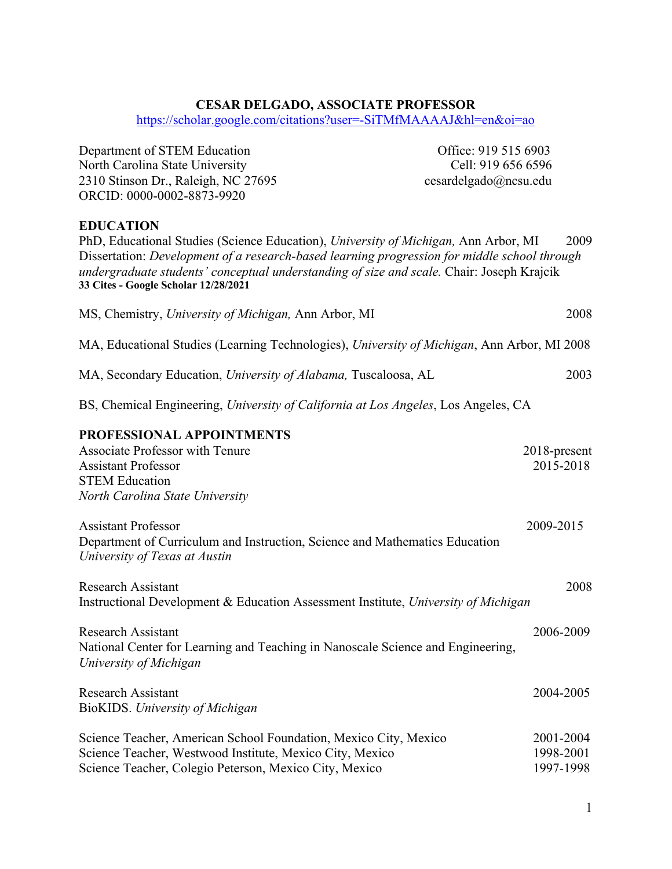#### **CESAR DELGADO, ASSOCIATE PROFESSOR**

https://scholar.google.com/citations?user=-SiTMfMAAAAJ&hl=en&oi=ao

Department of STEM Education Office: 919 515 6903 North Carolina State University Cell: 919 656 6596 2310 Stinson Dr., Raleigh, NC 27695 cesardelgado@ncsu.edu ORCID: 0000-0002-8873-9920 **EDUCATION** PhD, Educational Studies (Science Education), *University of Michigan,* Ann Arbor, MI 2009 Dissertation: *Development of a research-based learning progression for middle school through undergraduate students' conceptual understanding of size and scale.* Chair: Joseph Krajcik **33 Cites - Google Scholar 12/28/2021** MS, Chemistry, *University of Michigan,* Ann Arbor, MI 2008 MA, Educational Studies (Learning Technologies), *University of Michigan*, Ann Arbor, MI 2008 MA, Secondary Education, *University of Alabama,* Tuscaloosa, AL 2003 BS, Chemical Engineering, *University of California at Los Angeles*, Los Angeles, CA **PROFESSIONAL APPOINTMENTS** Associate Professor with Tenure 2018-present Assistant Professor 2015-2018 STEM Education *North Carolina State University* Assistant Professor 2009-2015 Department of Curriculum and Instruction, Science and Mathematics Education *University of Texas at Austin* Research Assistant 2008 Instructional Development & Education Assessment Institute, *University of Michigan* Research Assistant 2006-2009 National Center for Learning and Teaching in Nanoscale Science and Engineering, *University of Michigan* Research Assistant 2004-2005 BioKIDS. *University of Michigan* Science Teacher, American School Foundation, Mexico City, Mexico 2001-2004 Science Teacher, Westwood Institute, Mexico City, Mexico 1998-2001

1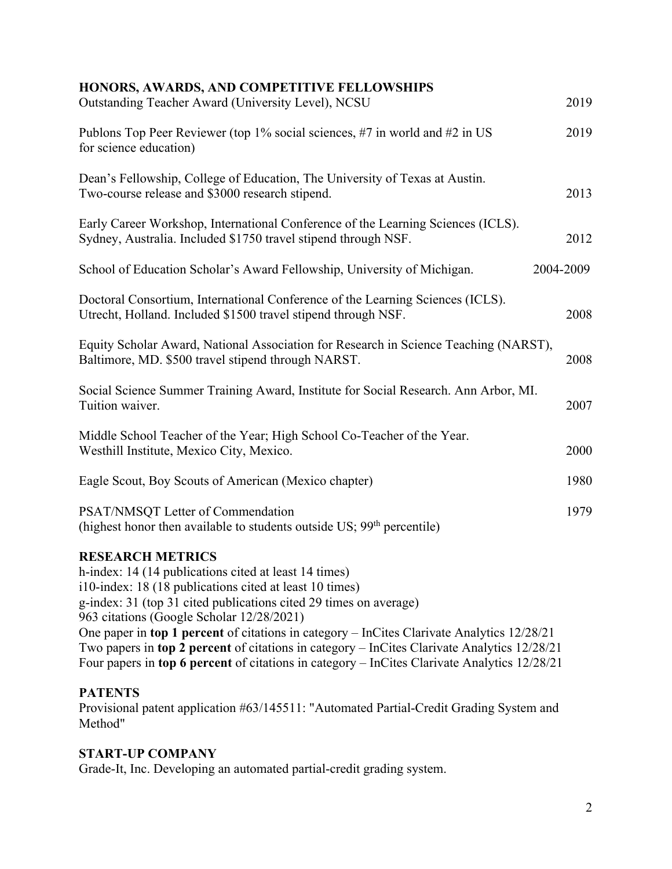# **HONORS, AWARDS, AND COMPETITIVE FELLOWSHIPS**

| Outstanding Teacher Award (University Level), NCSU                                                                                                                                                                                                                                                                                                                                                                                                                                                                                                         | 2019      |
|------------------------------------------------------------------------------------------------------------------------------------------------------------------------------------------------------------------------------------------------------------------------------------------------------------------------------------------------------------------------------------------------------------------------------------------------------------------------------------------------------------------------------------------------------------|-----------|
| Publons Top Peer Reviewer (top 1% social sciences, #7 in world and #2 in US<br>for science education)                                                                                                                                                                                                                                                                                                                                                                                                                                                      | 2019      |
| Dean's Fellowship, College of Education, The University of Texas at Austin.<br>Two-course release and \$3000 research stipend.                                                                                                                                                                                                                                                                                                                                                                                                                             | 2013      |
| Early Career Workshop, International Conference of the Learning Sciences (ICLS).<br>Sydney, Australia. Included \$1750 travel stipend through NSF.                                                                                                                                                                                                                                                                                                                                                                                                         | 2012      |
| School of Education Scholar's Award Fellowship, University of Michigan.                                                                                                                                                                                                                                                                                                                                                                                                                                                                                    | 2004-2009 |
| Doctoral Consortium, International Conference of the Learning Sciences (ICLS).<br>Utrecht, Holland. Included \$1500 travel stipend through NSF.                                                                                                                                                                                                                                                                                                                                                                                                            | 2008      |
| Equity Scholar Award, National Association for Research in Science Teaching (NARST),<br>Baltimore, MD. \$500 travel stipend through NARST.                                                                                                                                                                                                                                                                                                                                                                                                                 | 2008      |
| Social Science Summer Training Award, Institute for Social Research. Ann Arbor, MI.<br>Tuition waiver.                                                                                                                                                                                                                                                                                                                                                                                                                                                     | 2007      |
| Middle School Teacher of the Year; High School Co-Teacher of the Year.<br>Westhill Institute, Mexico City, Mexico.                                                                                                                                                                                                                                                                                                                                                                                                                                         | 2000      |
| Eagle Scout, Boy Scouts of American (Mexico chapter)                                                                                                                                                                                                                                                                                                                                                                                                                                                                                                       | 1980      |
| PSAT/NMSQT Letter of Commendation<br>(highest honor then available to students outside $US$ ; 99 <sup>th</sup> percentile)                                                                                                                                                                                                                                                                                                                                                                                                                                 | 1979      |
| <b>RESEARCH METRICS</b><br>h-index: 14 (14 publications cited at least 14 times)<br>i10-index: 18 (18 publications cited at least 10 times)<br>g-index: 31 (top 31 cited publications cited 29 times on average)<br>963 citations (Google Scholar 12/28/2021)<br>One paper in top 1 percent of citations in category - InCites Clarivate Analytics 12/28/21<br>Two papers in top 2 percent of citations in category – InCites Clarivate Analytics 12/28/21<br>Four papers in top 6 percent of citations in category - InCites Clarivate Analytics 12/28/21 |           |

## **PATENTS**

Provisional patent application #63/145511: "Automated Partial-Credit Grading System and Method"

# **START-UP COMPANY**

Grade-It, Inc. Developing an automated partial-credit grading system.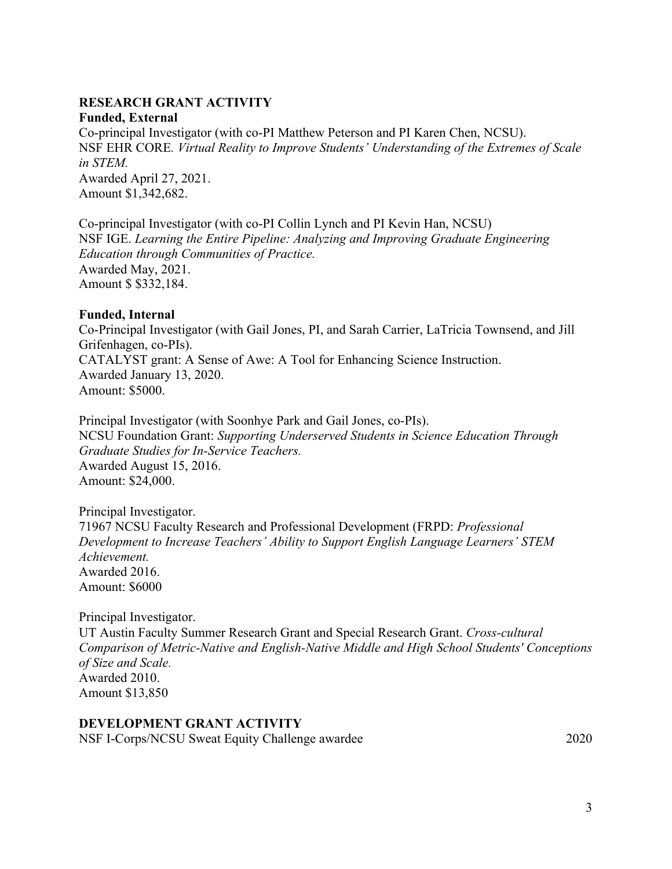#### **RESEARCH GRANT ACTIVITY Funded, External**

Co-principal Investigator (with co-PI Matthew Peterson and PI Karen Chen, NCSU). NSF EHR CORE*. Virtual Reality to Improve Students' Understanding of the Extremes of Scale in STEM.* Awarded April 27, 2021. Amount \$1,342,682.

Co-principal Investigator (with co-PI Collin Lynch and PI Kevin Han, NCSU) NSF IGE. *Learning the Entire Pipeline: Analyzing and Improving Graduate Engineering Education through Communities of Practice.* Awarded May, 2021. Amount \$ \$332,184.

#### **Funded, Internal**

Co-Principal Investigator (with Gail Jones, PI, and Sarah Carrier, LaTricia Townsend, and Jill Grifenhagen, co-PIs). CATALYST grant: A Sense of Awe: A Tool for Enhancing Science Instruction. Awarded January 13, 2020. Amount: \$5000.

Principal Investigator (with Soonhye Park and Gail Jones, co-PIs). NCSU Foundation Grant: *Supporting Underserved Students in Science Education Through Graduate Studies for In-Service Teachers.*  Awarded August 15, 2016. Amount: \$24,000.

#### Principal Investigator.

71967 NCSU Faculty Research and Professional Development (FRPD: *Professional Development to Increase Teachers' Ability to Support English Language Learners' STEM Achievement.* Awarded 2016. Amount: \$6000

Principal Investigator.

UT Austin Faculty Summer Research Grant and Special Research Grant. *Cross-cultural Comparison of Metric-Native and English-Native Middle and High School Students' Conceptions of Size and Scale.* Awarded 2010. Amount \$13,850

#### **DEVELOPMENT GRANT ACTIVITY**

NSF I-Corps/NCSU Sweat Equity Challenge awardee 2020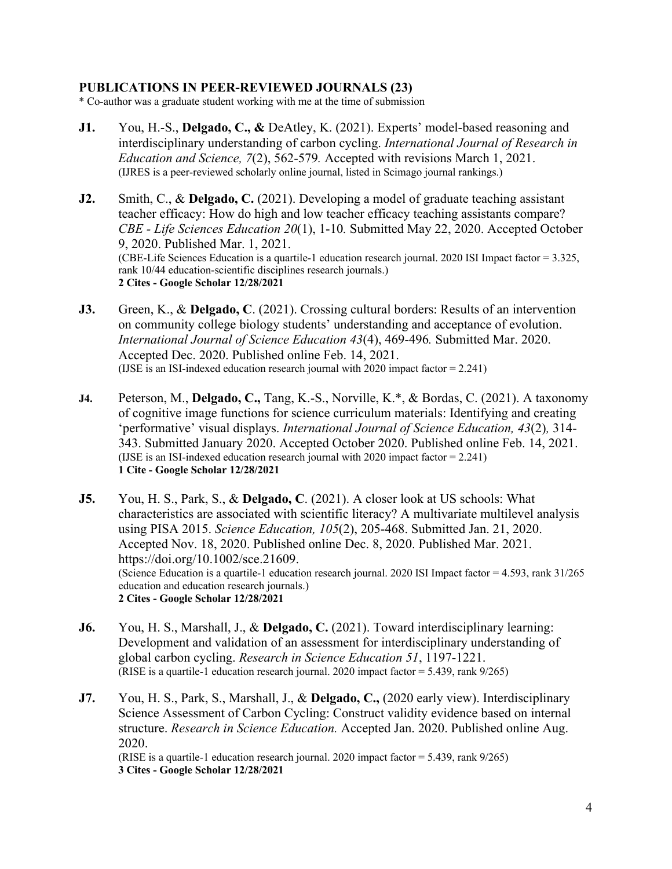#### **PUBLICATIONS IN PEER-REVIEWED JOURNALS (23)**

\* Co-author was a graduate student working with me at the time of submission

- **J1.** You, H.-S., **Delgado, C., &** DeAtley, K. (2021). Experts' model-based reasoning and interdisciplinary understanding of carbon cycling. *International Journal of Research in Education and Science, 7*(2), 562-579*.* Accepted with revisions March 1, 2021. (IJRES is a peer-reviewed scholarly online journal, listed in Scimago journal rankings.)
- **J2.** Smith, C., & **Delgado, C.** (2021). Developing a model of graduate teaching assistant teacher efficacy: How do high and low teacher efficacy teaching assistants compare? *CBE - Life Sciences Education 20*(1), 1-10*.* Submitted May 22, 2020. Accepted October 9, 2020. Published Mar. 1, 2021. (CBE-Life Sciences Education is a quartile-1 education research journal. 2020 ISI Impact factor = 3.325, rank 10/44 education-scientific disciplines research journals.) **2 Cites - Google Scholar 12/28/2021**
- **J3.** Green, K., & **Delgado, C**. (2021). Crossing cultural borders: Results of an intervention on community college biology students' understanding and acceptance of evolution. *International Journal of Science Education 43*(4), 469-496*.* Submitted Mar. 2020. Accepted Dec. 2020. Published online Feb. 14, 2021. (IJSE is an ISI-indexed education research journal with 2020 impact factor = 2.241)
- **J4.** Peterson, M., **Delgado, C.,** Tang, K.-S., Norville, K.\*, & Bordas, C. (2021). A taxonomy of cognitive image functions for science curriculum materials: Identifying and creating 'performative' visual displays. *International Journal of Science Education, 43*(2)*,* 314- 343. Submitted January 2020. Accepted October 2020. Published online Feb. 14, 2021. (IJSE is an ISI-indexed education research journal with 2020 impact factor = 2.241) **1 Cite - Google Scholar 12/28/2021**
- **J5.** You, H. S., Park, S., & **Delgado, C**. (2021). A closer look at US schools: What characteristics are associated with scientific literacy? A multivariate multilevel analysis using PISA 2015. *Science Education, 105*(2), 205-468. Submitted Jan. 21, 2020. Accepted Nov. 18, 2020. Published online Dec. 8, 2020. Published Mar. 2021. https://doi.org/10.1002/sce.21609. (Science Education is a quartile-1 education research journal. 2020 ISI Impact factor = 4.593, rank 31/265 education and education research journals.) **2 Cites - Google Scholar 12/28/2021**
- **J6.** You, H. S., Marshall, J., & **Delgado, C.** (2021). Toward interdisciplinary learning: Development and validation of an assessment for interdisciplinary understanding of global carbon cycling. *Research in Science Education 51*, 1197-1221. (RISE is a quartile-1 education research journal. 2020 impact factor = 5.439, rank 9/265)
- **J7.** You, H. S., Park, S., Marshall, J., & **Delgado, C.,** (2020 early view). Interdisciplinary Science Assessment of Carbon Cycling: Construct validity evidence based on internal structure. *Research in Science Education.* Accepted Jan. 2020. Published online Aug. 2020. (RISE is a quartile-1 education research journal. 2020 impact factor = 5.439, rank 9/265) **3 Cites - Google Scholar 12/28/2021**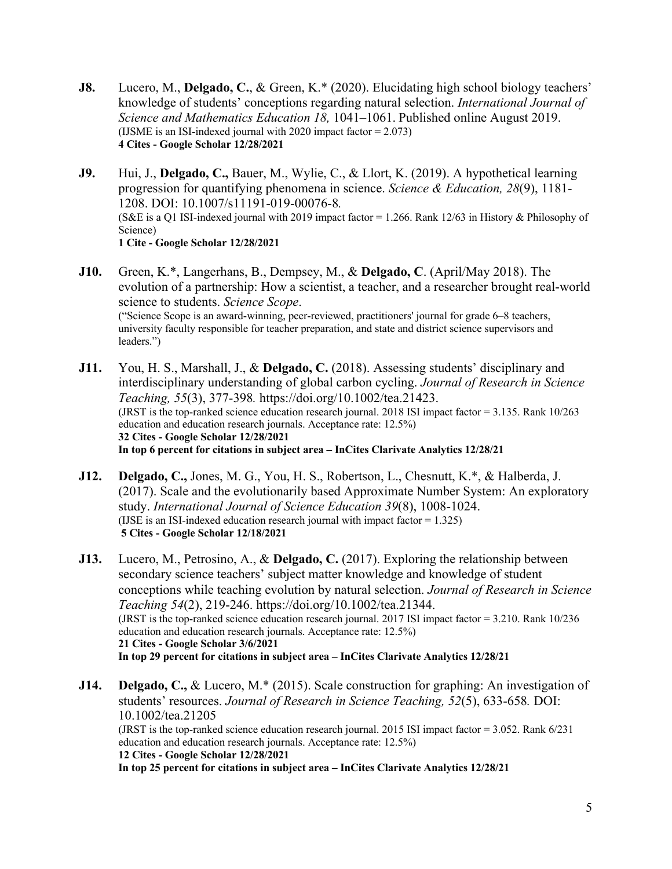**J8.** Lucero, M., **Delgado, C.**, & Green, K.\* (2020). Elucidating high school biology teachers' knowledge of students' conceptions regarding natural selection. *International Journal of Science and Mathematics Education 18,* 1041–1061. Published online August 2019. (IJSME is an ISI-indexed journal with 2020 impact factor = 2.073) **4 Cites - Google Scholar 12/28/2021**

**J9.** Hui, J., **Delgado, C.,** Bauer, M., Wylie, C., & Llort, K. (2019). A hypothetical learning progression for quantifying phenomena in science. *Science & Education, 28*(9), 1181- 1208. DOI: 10.1007/s11191-019-00076-8*.* (S&E is a Q1 ISI-indexed journal with 2019 impact factor = 1.266. Rank 12/63 in History & Philosophy of Science) **1 Cite - Google Scholar 12/28/2021**

- **J10.** Green, K.\*, Langerhans, B., Dempsey, M., & **Delgado, C**. (April/May 2018). The evolution of a partnership: How a scientist, a teacher, and a researcher brought real-world science to students. *Science Scope*. ("Science Scope is an award-winning, peer-reviewed, practitioners' journal for grade 6–8 teachers, university faculty responsible for teacher preparation, and state and district science supervisors and leaders.")
- **J11.** You, H. S., Marshall, J., & **Delgado, C.** (2018). Assessing students' disciplinary and interdisciplinary understanding of global carbon cycling. *Journal of Research in Science Teaching, 55*(3), 377-398*.* https://doi.org/10.1002/tea.21423. (JRST is the top-ranked science education research journal. 2018 ISI impact factor = 3.135. Rank 10/263 education and education research journals. Acceptance rate: 12.5%) **32 Cites - Google Scholar 12/28/2021 In top 6 percent for citations in subject area – InCites Clarivate Analytics 12/28/21**
- **J12. Delgado, C.,** Jones, M. G., You, H. S., Robertson, L., Chesnutt, K.\*, & Halberda, J. (2017). Scale and the evolutionarily based Approximate Number System: An exploratory study. *International Journal of Science Education 39*(8), 1008-1024. (IJSE is an ISI-indexed education research journal with impact factor  $= 1.325$ ) **5 Cites - Google Scholar 12/18/2021**
- **J13.** Lucero, M., Petrosino, A., & **Delgado, C.** (2017). Exploring the relationship between secondary science teachers' subject matter knowledge and knowledge of student conceptions while teaching evolution by natural selection. *Journal of Research in Science Teaching 54*(2), 219-246. https://doi.org/10.1002/tea.21344. (JRST is the top-ranked science education research journal. 2017 ISI impact factor = 3.210. Rank 10/236 education and education research journals. Acceptance rate: 12.5%) **21 Cites - Google Scholar 3/6/2021 In top 29 percent for citations in subject area – InCites Clarivate Analytics 12/28/21**
- **J14. Delgado, C.,** & Lucero, M.\* (2015). Scale construction for graphing: An investigation of students' resources. *Journal of Research in Science Teaching, 52*(5), 633-658*.* DOI: 10.1002/tea.21205 (JRST is the top-ranked science education research journal. 2015 ISI impact factor = 3.052. Rank 6/231 education and education research journals. Acceptance rate: 12.5%) **12 Cites - Google Scholar 12/28/2021 In top 25 percent for citations in subject area – InCites Clarivate Analytics 12/28/21**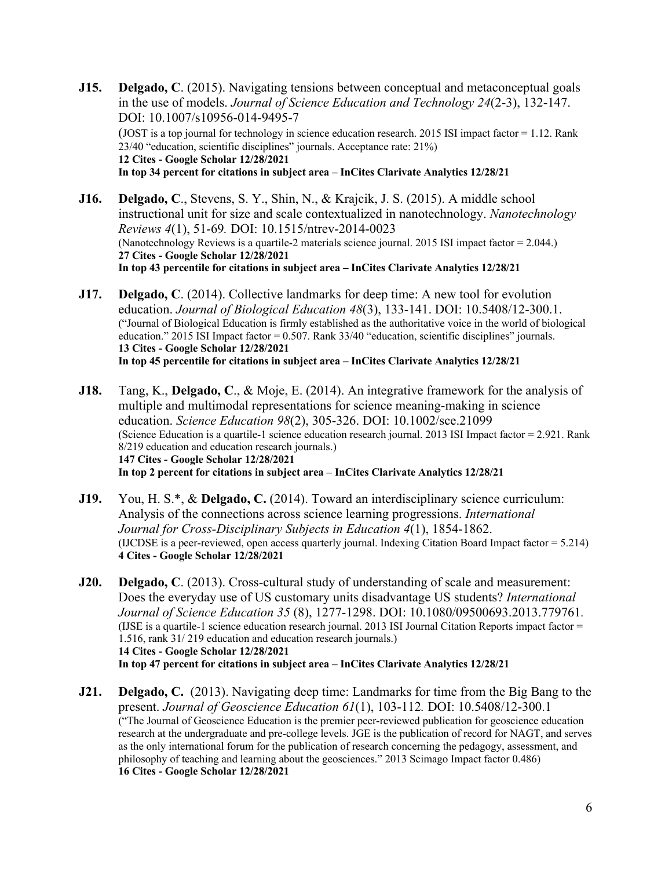**J15. Delgado, C**. (2015). Navigating tensions between conceptual and metaconceptual goals in the use of models. *Journal of Science Education and Technology 24*(2-3), 132-147. DOI: 10.1007/s10956-014-9495-7 (JOST is a top journal for technology in science education research. 2015 ISI impact factor = 1.12. Rank 23/40 "education, scientific disciplines" journals. Acceptance rate: 21%) **12 Cites - Google Scholar 12/28/2021 In top 34 percent for citations in subject area – InCites Clarivate Analytics 12/28/21**

**J16. Delgado, C**., Stevens, S. Y., Shin, N., & Krajcik, J. S. (2015). A middle school instructional unit for size and scale contextualized in nanotechnology. *Nanotechnology Reviews 4*(1), 51-69*.* DOI: 10.1515/ntrev-2014-0023 (Nanotechnology Reviews is a quartile-2 materials science journal. 2015 ISI impact factor = 2.044.) **27 Cites - Google Scholar 12/28/2021 In top 43 percentile for citations in subject area – InCites Clarivate Analytics 12/28/21**

- **J17. Delgado, C**. (2014). Collective landmarks for deep time: A new tool for evolution education. *Journal of Biological Education 48*(3), 133-141. DOI: 10.5408/12-300.1. ("Journal of Biological Education is firmly established as the authoritative voice in the world of biological education." 2015 ISI Impact factor = 0.507. Rank 33/40 "education, scientific disciplines" journals. **13 Cites - Google Scholar 12/28/2021 In top 45 percentile for citations in subject area – InCites Clarivate Analytics 12/28/21**
- **J18.** Tang, K., **Delgado, C**., & Moje, E. (2014). An integrative framework for the analysis of multiple and multimodal representations for science meaning-making in science education. *Science Education 98*(2), 305-326. DOI: 10.1002/sce.21099 (Science Education is a quartile-1 science education research journal. 2013 ISI Impact factor  $= 2.921$ . Rank 8/219 education and education research journals.) **147 Cites - Google Scholar 12/28/2021 In top 2 percent for citations in subject area – InCites Clarivate Analytics 12/28/21**
- **J19.** You, H. S.\*, & **Delgado, C.** (2014). Toward an interdisciplinary science curriculum: Analysis of the connections across science learning progressions. *International Journal for Cross-Disciplinary Subjects in Education 4*(1), 1854-1862. (IJCDSE is a peer-reviewed, open access quarterly journal. Indexing Citation Board Impact factor = 5.214) **4 Cites - Google Scholar 12/28/2021**
- **J20. Delgado, C**. (2013). Cross-cultural study of understanding of scale and measurement: Does the everyday use of US customary units disadvantage US students? *International Journal of Science Education 35* (8), 1277-1298. DOI: 10.1080/09500693.2013.779761*.* (IJSE is a quartile-1 science education research journal. 2013 ISI Journal Citation Reports impact factor = 1.516, rank 31/ 219 education and education research journals.) **14 Cites - Google Scholar 12/28/2021 In top 47 percent for citations in subject area – InCites Clarivate Analytics 12/28/21**
- **J21. Delgado, C.** (2013). Navigating deep time: Landmarks for time from the Big Bang to the present. *Journal of Geoscience Education 61*(1), 103-112*.* DOI: 10.5408/12-300.1 ("The Journal of Geoscience Education is the premier peer-reviewed publication for geoscience education research at the undergraduate and pre-college levels. JGE is the publication of record for NAGT, and serves as the only international forum for the publication of research concerning the pedagogy, assessment, and philosophy of teaching and learning about the geosciences." 2013 Scimago Impact factor 0.486) **16 Cites - Google Scholar 12/28/2021**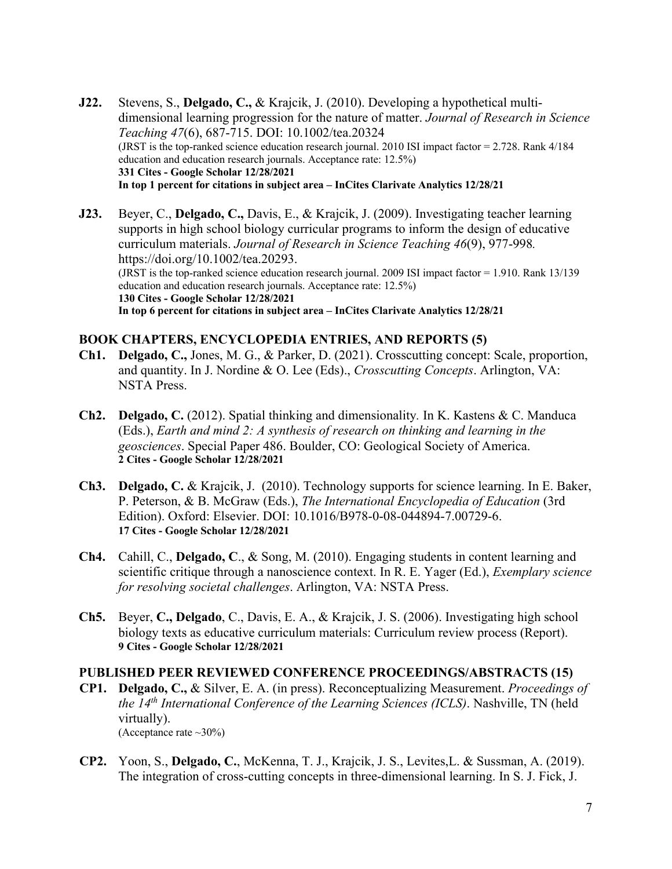- **J22.** Stevens, S., **Delgado, C.,** & Krajcik, J. (2010). Developing a hypothetical multidimensional learning progression for the nature of matter. *Journal of Research in Science Teaching 47*(6), 687-715. DOI: 10.1002/tea.20324 (JRST is the top-ranked science education research journal. 2010 ISI impact factor = 2.728. Rank 4/184 education and education research journals. Acceptance rate: 12.5%) **331 Cites - Google Scholar 12/28/2021 In top 1 percent for citations in subject area – InCites Clarivate Analytics 12/28/21**
- **J23.** Beyer, C., **Delgado, C.,** Davis, E., & Krajcik, J. (2009). Investigating teacher learning supports in high school biology curricular programs to inform the design of educative curriculum materials. *Journal of Research in Science Teaching 46*(9), 977-998*.* https://doi.org/10.1002/tea.20293. (JRST is the top-ranked science education research journal. 2009 ISI impact factor = 1.910. Rank 13/139 education and education research journals. Acceptance rate: 12.5%) **130 Cites - Google Scholar 12/28/2021 In top 6 percent for citations in subject area – InCites Clarivate Analytics 12/28/21**

## **BOOK CHAPTERS, ENCYCLOPEDIA ENTRIES, AND REPORTS (5)**

- **Ch1. Delgado, C.,** Jones, M. G., & Parker, D. (2021). Crosscutting concept: Scale, proportion, and quantity. In J. Nordine & O. Lee (Eds)., *Crosscutting Concepts*. Arlington, VA: NSTA Press.
- **Ch2. Delgado, C.** (2012). Spatial thinking and dimensionality*.* In K. Kastens & C. Manduca (Eds.), *Earth and mind 2: A synthesis of research on thinking and learning in the geosciences*. Special Paper 486. Boulder, CO: Geological Society of America. **2 Cites - Google Scholar 12/28/2021**
- **Ch3. Delgado, C.** & Krajcik, J. (2010). Technology supports for science learning. In E. Baker, P. Peterson, & B. McGraw (Eds.), *The International Encyclopedia of Education* (3rd Edition). Oxford: Elsevier. DOI: 10.1016/B978-0-08-044894-7.00729-6. **17 Cites - Google Scholar 12/28/2021**
- **Ch4.** Cahill, C., **Delgado, C**., & Song, M. (2010). Engaging students in content learning and scientific critique through a nanoscience context. In R. E. Yager (Ed.), *Exemplary science for resolving societal challenges*. Arlington, VA: NSTA Press.
- **Ch5.** Beyer, **C., Delgado**, C., Davis, E. A., & Krajcik, J. S. (2006). Investigating high school biology texts as educative curriculum materials: Curriculum review process (Report). **9 Cites - Google Scholar 12/28/2021**

#### **PUBLISHED PEER REVIEWED CONFERENCE PROCEEDINGS/ABSTRACTS (15)**

- **CP1. Delgado, C.,** & Silver, E. A. (in press). Reconceptualizing Measurement. *Proceedings of the 14th International Conference of the Learning Sciences (ICLS)*. Nashville, TN (held virtually). (Acceptance rate  $\sim 30\%$ )
- **CP2.** Yoon, S., **Delgado, C.**, McKenna, T. J., Krajcik, J. S., Levites,L. & Sussman, A. (2019). The integration of cross-cutting concepts in three-dimensional learning. In S. J. Fick, J.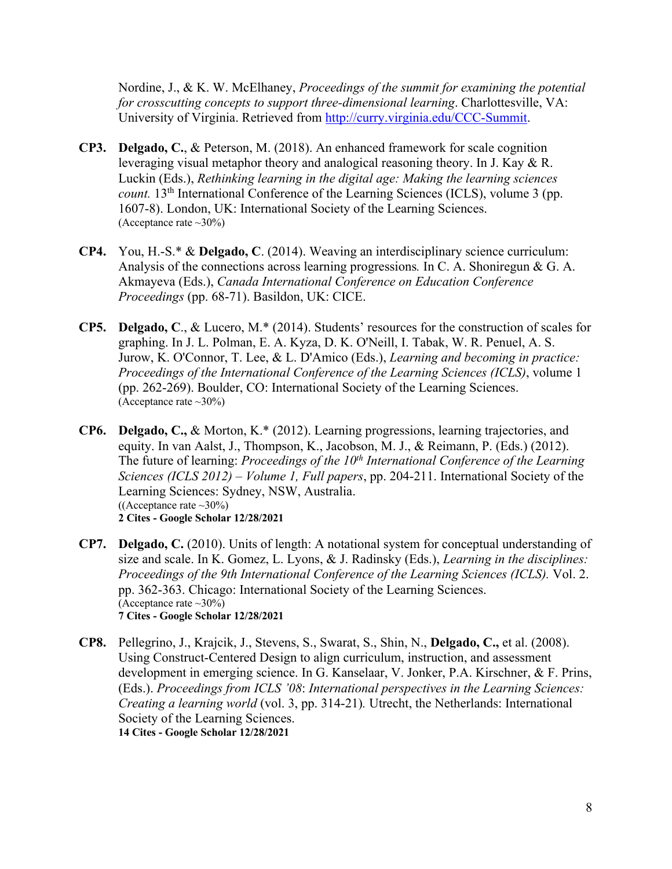Nordine, J., & K. W. McElhaney, *Proceedings of the summit for examining the potential for crosscutting concepts to support three-dimensional learning*. Charlottesville, VA: University of Virginia. Retrieved from http://curry.virginia.edu/CCC-Summit.

- **CP3. Delgado, C.**, & Peterson, M. (2018). An enhanced framework for scale cognition leveraging visual metaphor theory and analogical reasoning theory. In J. Kay & R. Luckin (Eds.), *Rethinking learning in the digital age: Making the learning sciences count.* 13<sup>th</sup> International Conference of the Learning Sciences (ICLS), volume 3 (pp. 1607-8). London, UK: International Society of the Learning Sciences. (Acceptance rate  $\sim 30\%$ )
- **CP4.** You, H.-S.\* & **Delgado, C**. (2014). Weaving an interdisciplinary science curriculum: Analysis of the connections across learning progressions*.* In C. A. Shoniregun & G. A. Akmayeva (Eds.), *Canada International Conference on Education Conference Proceedings* (pp. 68-71). Basildon, UK: CICE.
- **CP5. Delgado, C**., & Lucero, M.\* (2014). Students' resources for the construction of scales for graphing. In J. L. Polman, E. A. Kyza, D. K. O'Neill, I. Tabak, W. R. Penuel, A. S. Jurow, K. O'Connor, T. Lee, & L. D'Amico (Eds.), *Learning and becoming in practice: Proceedings of the International Conference of the Learning Sciences (ICLS)*, volume 1 (pp. 262-269). Boulder, CO: International Society of the Learning Sciences. (Acceptance rate ~30%)
- **CP6. Delgado, C.,** & Morton, K.\* (2012). Learning progressions, learning trajectories, and equity. In van Aalst, J., Thompson, K., Jacobson, M. J., & Reimann, P. (Eds.) (2012). The future of learning: *Proceedings of the 10<sup>th</sup> International Conference of the Learning Sciences (ICLS 2012) – Volume 1, Full papers*, pp. 204-211. International Society of the Learning Sciences: Sydney, NSW, Australia. ((Acceptance rate  $\sim 30\%$ ) **2 Cites - Google Scholar 12/28/2021**
- **CP7. Delgado, C.** (2010). Units of length: A notational system for conceptual understanding of size and scale. In K. Gomez, L. Lyons, & J. Radinsky (Eds.), *Learning in the disciplines: Proceedings of the 9th International Conference of the Learning Sciences (ICLS).* Vol. 2. pp. 362-363. Chicago: International Society of the Learning Sciences. (Acceptance rate  $\sim 30\%$ ) **7 Cites - Google Scholar 12/28/2021**
- **CP8.** Pellegrino, J., Krajcik, J., Stevens, S., Swarat, S., Shin, N., **Delgado, C.,** et al. (2008). Using Construct-Centered Design to align curriculum, instruction, and assessment development in emerging science. In G. Kanselaar, V. Jonker, P.A. Kirschner, & F. Prins, (Eds.). *Proceedings from ICLS '08*: *International perspectives in the Learning Sciences: Creating a learning world* (vol. 3, pp. 314-21)*.* Utrecht, the Netherlands: International Society of the Learning Sciences. **14 Cites - Google Scholar 12/28/2021**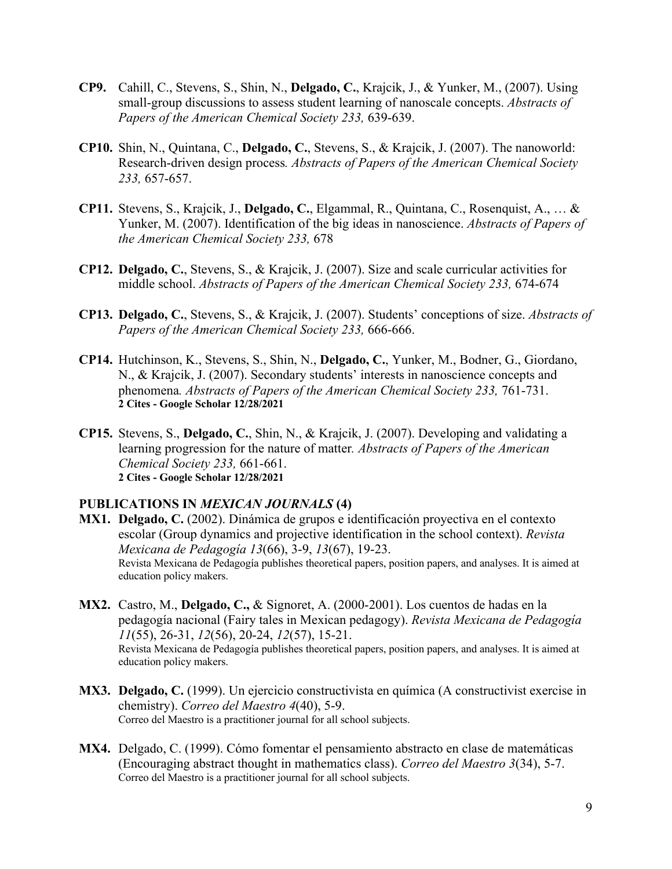- **CP9.** Cahill, C., Stevens, S., Shin, N., **Delgado, C.**, Krajcik, J., & Yunker, M., (2007). Using small-group discussions to assess student learning of nanoscale concepts. *Abstracts of Papers of the American Chemical Society 233,* 639-639.
- **CP10.** Shin, N., Quintana, C., **Delgado, C.**, Stevens, S., & Krajcik, J. (2007). The nanoworld: Research-driven design process*. Abstracts of Papers of the American Chemical Society 233,* 657-657.
- **CP11.** Stevens, S., Krajcik, J., **Delgado, C.**, Elgammal, R., Quintana, C., Rosenquist, A., … & Yunker, M. (2007). Identification of the big ideas in nanoscience. *Abstracts of Papers of the American Chemical Society 233,* 678
- **CP12. Delgado, C.**, Stevens, S., & Krajcik, J. (2007). Size and scale curricular activities for middle school. *Abstracts of Papers of the American Chemical Society 233,* 674-674
- **CP13. Delgado, C.**, Stevens, S., & Krajcik, J. (2007). Students' conceptions of size. *Abstracts of Papers of the American Chemical Society 233,* 666-666.
- **CP14.** Hutchinson, K., Stevens, S., Shin, N., **Delgado, C.**, Yunker, M., Bodner, G., Giordano, N., & Krajcik, J. (2007). Secondary students' interests in nanoscience concepts and phenomena*. Abstracts of Papers of the American Chemical Society 233,* 761-731. **2 Cites - Google Scholar 12/28/2021**
- **CP15.** Stevens, S., **Delgado, C.**, Shin, N., & Krajcik, J. (2007). Developing and validating a learning progression for the nature of matter*. Abstracts of Papers of the American Chemical Society 233,* 661-661. **2 Cites - Google Scholar 12/28/2021**

#### **PUBLICATIONS IN** *MEXICAN JOURNALS* **(4)**

- **MX1. Delgado, C.** (2002). Dinámica de grupos e identificación proyectiva en el contexto escolar (Group dynamics and projective identification in the school context). *Revista Mexicana de Pedagogía 13*(66), 3-9, *13*(67), 19-23. Revista Mexicana de Pedagogía publishes theoretical papers, position papers, and analyses. It is aimed at education policy makers.
- **MX2.** Castro, M., **Delgado, C.,** & Signoret, A. (2000-2001). Los cuentos de hadas en la pedagogía nacional (Fairy tales in Mexican pedagogy). *Revista Mexicana de Pedagogía 11*(55), 26-31, *12*(56), 20-24, *12*(57), 15-21.

Revista Mexicana de Pedagogía publishes theoretical papers, position papers, and analyses. It is aimed at education policy makers.

- **MX3. Delgado, C.** (1999). Un ejercicio constructivista en química (A constructivist exercise in chemistry). *Correo del Maestro 4*(40), 5-9. Correo del Maestro is a practitioner journal for all school subjects.
- **MX4.** Delgado, C. (1999). Cómo fomentar el pensamiento abstracto en clase de matemáticas (Encouraging abstract thought in mathematics class). *Correo del Maestro 3*(34), 5-7. Correo del Maestro is a practitioner journal for all school subjects.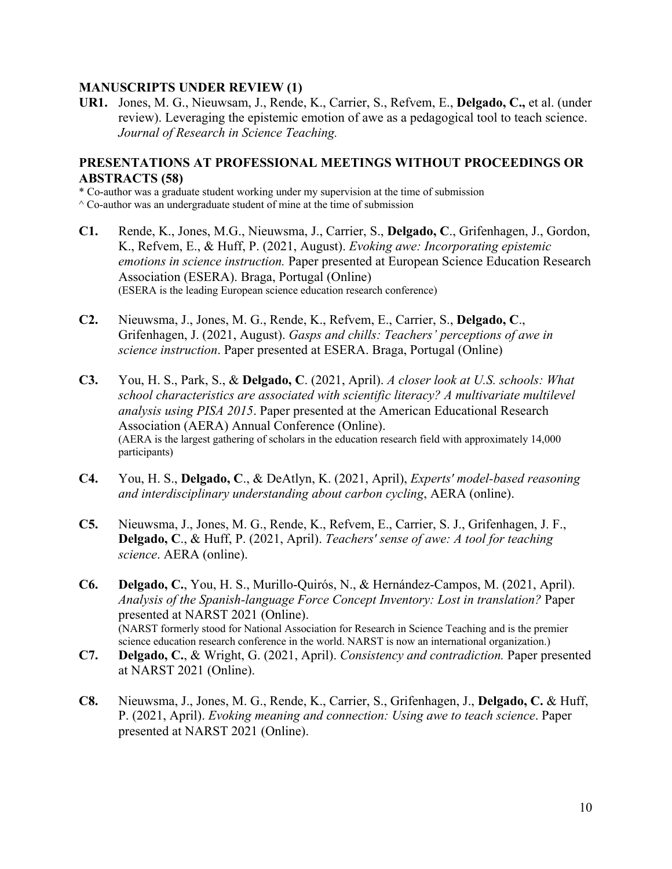#### **MANUSCRIPTS UNDER REVIEW (1)**

**UR1.** Jones, M. G., Nieuwsam, J., Rende, K., Carrier, S., Refvem, E., **Delgado, C.,** et al. (under review). Leveraging the epistemic emotion of awe as a pedagogical tool to teach science. *Journal of Research in Science Teaching.*

## **PRESENTATIONS AT PROFESSIONAL MEETINGS WITHOUT PROCEEDINGS OR ABSTRACTS (58)**

\* Co-author was a graduate student working under my supervision at the time of submission

- $^{\wedge}$  Co-author was an undergraduate student of mine at the time of submission
- **C1.** Rende, K., Jones, M.G., Nieuwsma, J., Carrier, S., **Delgado, C**., Grifenhagen, J., Gordon, K., Refvem, E., & Huff, P. (2021, August). *Evoking awe: Incorporating epistemic emotions in science instruction.* Paper presented at European Science Education Research Association (ESERA). Braga, Portugal (Online) (ESERA is the leading European science education research conference)
- **C2.** Nieuwsma, J., Jones, M. G., Rende, K., Refvem, E., Carrier, S., **Delgado, C**., Grifenhagen, J. (2021, August). *Gasps and chills: Teachers' perceptions of awe in science instruction*. Paper presented at ESERA. Braga, Portugal (Online)
- **C3.** You, H. S., Park, S., & **Delgado, C**. (2021, April). *A closer look at U.S. schools: What school characteristics are associated with scientific literacy? A multivariate multilevel analysis using PISA 2015*. Paper presented at the American Educational Research Association (AERA) Annual Conference (Online). (AERA is the largest gathering of scholars in the education research field with approximately 14,000 participants)
- **C4.** You, H. S., **Delgado, C**., & DeAtlyn, K. (2021, April), *Experts' model-based reasoning and interdisciplinary understanding about carbon cycling*, AERA (online).
- **C5.** Nieuwsma, J., Jones, M. G., Rende, K., Refvem, E., Carrier, S. J., Grifenhagen, J. F., **Delgado, C**., & Huff, P. (2021, April). *Teachers' sense of awe: A tool for teaching science*. AERA (online).
- **C6. Delgado, C.**, You, H. S., Murillo-Quirós, N., & Hernández-Campos, M. (2021, April). *Analysis of the Spanish-language Force Concept Inventory: Lost in translation?* Paper presented at NARST 2021 (Online). (NARST formerly stood for National Association for Research in Science Teaching and is the premier science education research conference in the world. NARST is now an international organization.)
- **C7. Delgado, C.**, & Wright, G. (2021, April). *Consistency and contradiction.* Paper presented at NARST 2021 (Online).
- **C8.** Nieuwsma, J., Jones, M. G., Rende, K., Carrier, S., Grifenhagen, J., **Delgado, C.** & Huff, P. (2021, April). *Evoking meaning and connection: Using awe to teach science*. Paper presented at NARST 2021 (Online).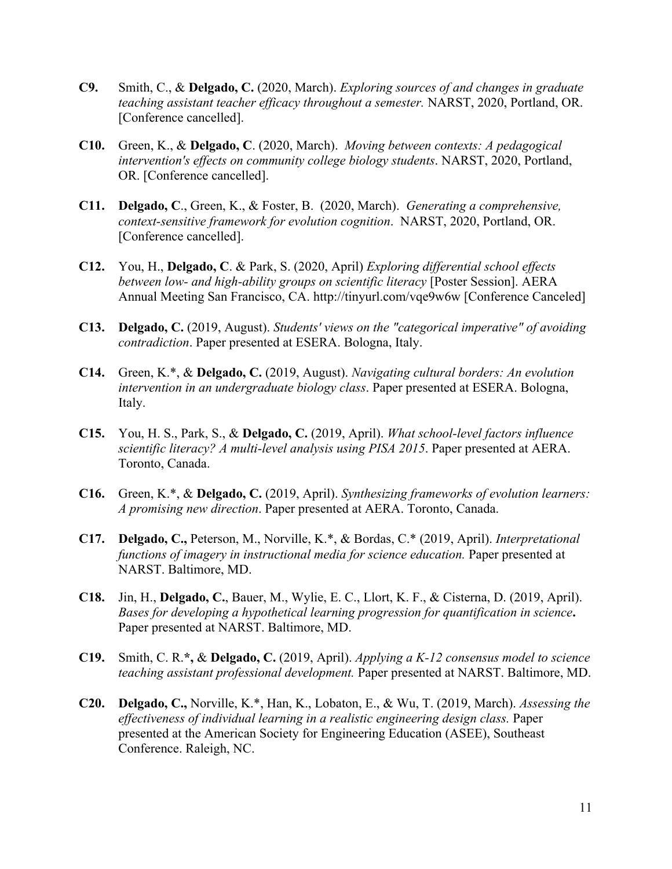- **C9.** Smith, C., & **Delgado, C.** (2020, March). *Exploring sources of and changes in graduate teaching assistant teacher efficacy throughout a semester.* NARST, 2020, Portland, OR. [Conference cancelled].
- **C10.** Green, K., & **Delgado, C**. (2020, March). *Moving between contexts: A pedagogical intervention's effects on community college biology students*. NARST, 2020, Portland, OR. [Conference cancelled].
- **C11. Delgado, C**., Green, K., & Foster, B. (2020, March). *Generating a comprehensive, context-sensitive framework for evolution cognition*. NARST, 2020, Portland, OR. [Conference cancelled].
- **C12.** You, H., **Delgado, C**. & Park, S. (2020, April) *Exploring differential school effects between low- and high-ability groups on scientific literacy* [Poster Session]. AERA Annual Meeting San Francisco, CA. http://tinyurl.com/vqe9w6w [Conference Canceled]
- **C13. Delgado, C.** (2019, August). *Students' views on the "categorical imperative" of avoiding contradiction*. Paper presented at ESERA. Bologna, Italy.
- **C14.** Green, K.\*, & **Delgado, C.** (2019, August). *Navigating cultural borders: An evolution intervention in an undergraduate biology class*. Paper presented at ESERA. Bologna, Italy.
- **C15.** You, H. S., Park, S., & **Delgado, C.** (2019, April). *What school-level factors influence scientific literacy? A multi-level analysis using PISA 2015*. Paper presented at AERA. Toronto, Canada.
- **C16.** Green, K.\*, & **Delgado, C.** (2019, April). *Synthesizing frameworks of evolution learners: A promising new direction*. Paper presented at AERA. Toronto, Canada.
- **C17. Delgado, C.,** Peterson, M., Norville, K.\*, & Bordas, C.\* (2019, April). *Interpretational functions of imagery in instructional media for science education.* Paper presented at NARST. Baltimore, MD.
- **C18.** Jin, H., **Delgado, C.**, Bauer, M., Wylie, E. C., Llort, K. F., & Cisterna, D. (2019, April). *Bases for developing a hypothetical learning progression for quantification in science***.**  Paper presented at NARST. Baltimore, MD.
- **C19.** Smith, C. R.**\*,** & **Delgado, C.** (2019, April). *Applying a K-12 consensus model to science teaching assistant professional development.* Paper presented at NARST. Baltimore, MD.
- **C20. Delgado, C.,** Norville, K.\*, Han, K., Lobaton, E., & Wu, T. (2019, March). *Assessing the effectiveness of individual learning in a realistic engineering design class.* Paper presented at the American Society for Engineering Education (ASEE), Southeast Conference. Raleigh, NC.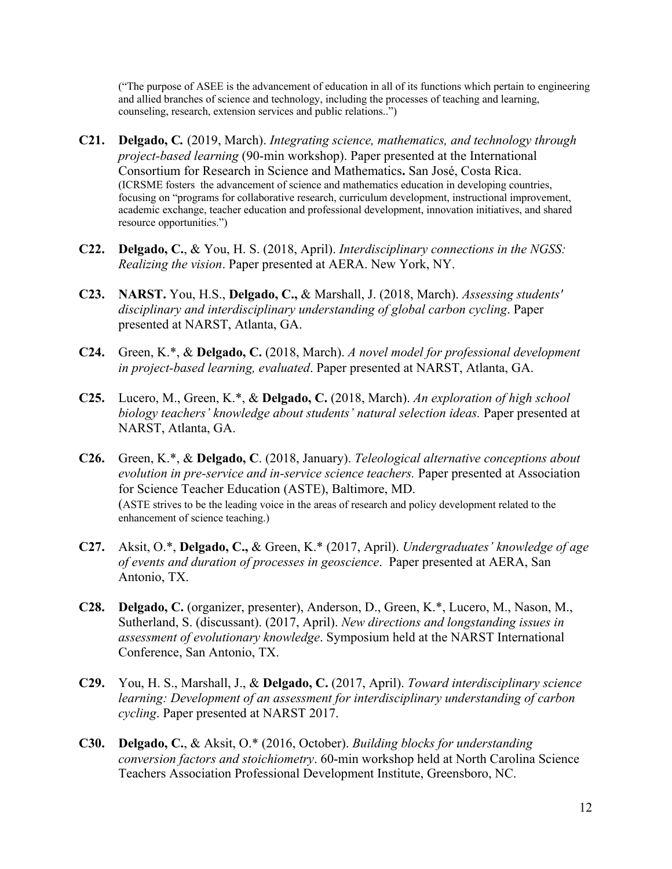("The purpose of ASEE is the advancement of education in all of its functions which pertain to engineering and allied branches of science and technology, including the processes of teaching and learning, counseling, research, extension services and public relations..")

- **C21. Delgado, C***.* (2019, March). *Integrating science, mathematics, and technology through project-based learning* (90-min workshop). Paper presented at the International Consortium for Research in Science and Mathematics**.** San José, Costa Rica. (ICRSME fosters the advancement of science and mathematics education in developing countries, focusing on "programs for collaborative research, curriculum development, instructional improvement, academic exchange, teacher education and professional development, innovation initiatives, and shared resource opportunities.")
- **C22. Delgado, C.**, & You, H. S. (2018, April). *Interdisciplinary connections in the NGSS: Realizing the vision*. Paper presented at AERA. New York, NY.
- **C23. NARST.** You, H.S., **Delgado, C.,** & Marshall, J. (2018, March). *Assessing students' disciplinary and interdisciplinary understanding of global carbon cycling*. Paper presented at NARST, Atlanta, GA.
- **C24.** Green, K.\*, & **Delgado, C.** (2018, March). *A novel model for professional development in project-based learning, evaluated*. Paper presented at NARST, Atlanta, GA.
- **C25.** Lucero, M., Green, K.\*, & **Delgado, C.** (2018, March). *An exploration of high school biology teachers' knowledge about students' natural selection ideas.* Paper presented at NARST, Atlanta, GA.
- **C26.** Green, K.\*, & **Delgado, C**. (2018, January). *Teleological alternative conceptions about evolution in pre-service and in-service science teachers.* Paper presented at Association for Science Teacher Education (ASTE), Baltimore, MD. (ASTE strives to be the leading voice in the areas of research and policy development related to the enhancement of science teaching.)
- **C27.** Aksit, O.\*, **Delgado, C.,** & Green, K.\* (2017, April). *Undergraduates' knowledge of age of events and duration of processes in geoscience*. Paper presented at AERA, San Antonio, TX.
- **C28. Delgado, C.** (organizer, presenter), Anderson, D., Green, K.\*, Lucero, M., Nason, M., Sutherland, S. (discussant). (2017, April). *New directions and longstanding issues in assessment of evolutionary knowledge*. Symposium held at the NARST International Conference, San Antonio, TX.
- **C29.** You, H. S., Marshall, J., & **Delgado, C.** (2017, April). *Toward interdisciplinary science learning: Development of an assessment for interdisciplinary understanding of carbon cycling*. Paper presented at NARST 2017.
- **C30. Delgado, C.**, & Aksit, O.\* (2016, October). *Building blocks for understanding conversion factors and stoichiometry*. 60-min workshop held at North Carolina Science Teachers Association Professional Development Institute, Greensboro, NC.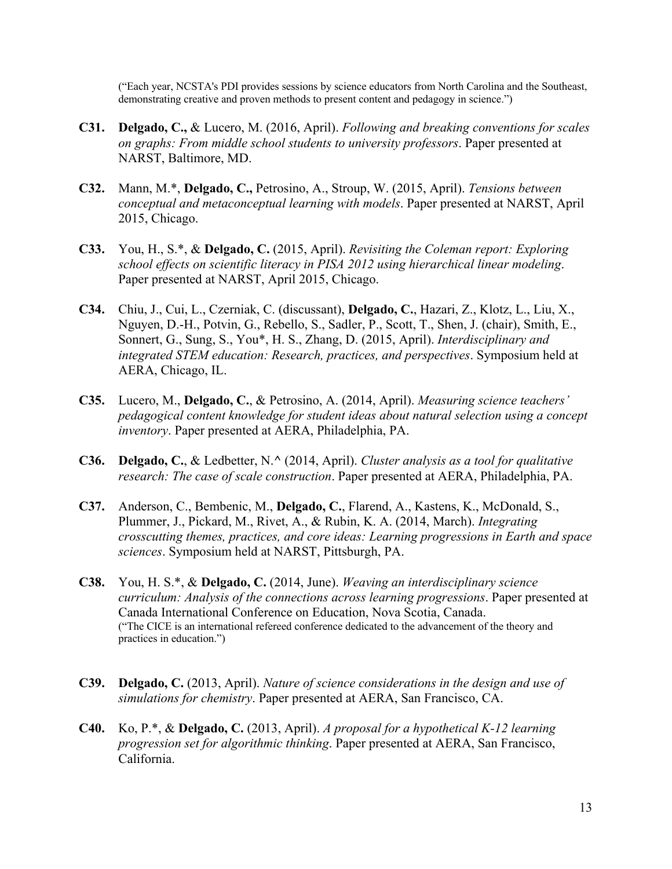("Each year, NCSTA's PDI provides sessions by science educators from North Carolina and the Southeast, demonstrating creative and proven methods to present content and pedagogy in science.")

- **C31. Delgado, C.,** & Lucero, M. (2016, April). *Following and breaking conventions for scales on graphs: From middle school students to university professors*. Paper presented at NARST, Baltimore, MD.
- **C32.** Mann, M.\*, **Delgado, C.,** Petrosino, A., Stroup, W. (2015, April). *Tensions between conceptual and metaconceptual learning with models*. Paper presented at NARST, April 2015, Chicago.
- **C33.** You, H., S.\*, & **Delgado, C.** (2015, April). *Revisiting the Coleman report: Exploring school effects on scientific literacy in PISA 2012 using hierarchical linear modeling*. Paper presented at NARST, April 2015, Chicago.
- **C34.** Chiu, J., Cui, L., Czerniak, C. (discussant), **Delgado, C.**, Hazari, Z., Klotz, L., Liu, X., Nguyen, D.-H., Potvin, G., Rebello, S., Sadler, P., Scott, T., Shen, J. (chair), Smith, E., Sonnert, G., Sung, S., You\*, H. S., Zhang, D. (2015, April). *Interdisciplinary and integrated STEM education: Research, practices, and perspectives*. Symposium held at AERA, Chicago, IL.
- **C35.** Lucero, M., **Delgado, C.**, & Petrosino, A. (2014, April). *Measuring science teachers' pedagogical content knowledge for student ideas about natural selection using a concept inventory*. Paper presented at AERA, Philadelphia, PA.
- **C36. Delgado, C.**, & Ledbetter, N.**^** (2014, April). *Cluster analysis as a tool for qualitative research: The case of scale construction*. Paper presented at AERA, Philadelphia, PA.
- **C37.** Anderson, C., Bembenic, M., **Delgado, C.**, Flarend, A., Kastens, K., McDonald, S., Plummer, J., Pickard, M., Rivet, A., & Rubin, K. A. (2014, March). *Integrating crosscutting themes, practices, and core ideas: Learning progressions in Earth and space sciences*. Symposium held at NARST, Pittsburgh, PA.
- **C38.** You, H. S.\*, & **Delgado, C.** (2014, June). *Weaving an interdisciplinary science curriculum: Analysis of the connections across learning progressions*. Paper presented at Canada International Conference on Education, Nova Scotia, Canada. ("The CICE is an international refereed conference dedicated to the advancement of the theory and practices in education.")
- **C39. Delgado, C.** (2013, April). *Nature of science considerations in the design and use of simulations for chemistry*. Paper presented at AERA, San Francisco, CA.
- **C40.** Ko, P.\*, & **Delgado, C.** (2013, April). *A proposal for a hypothetical K-12 learning progression set for algorithmic thinking*. Paper presented at AERA, San Francisco, California.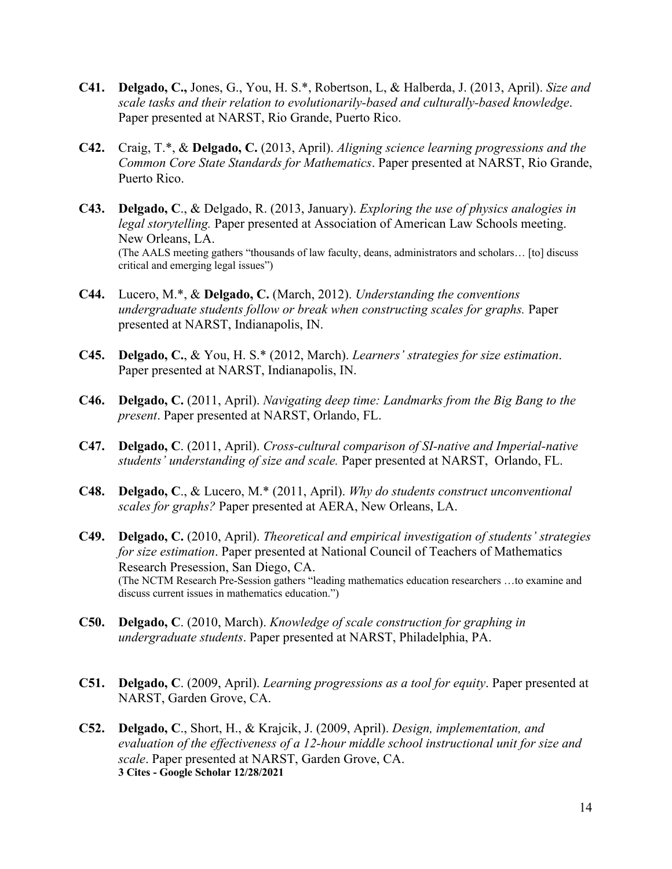- **C41. Delgado, C.,** Jones, G., You, H. S.\*, Robertson, L, & Halberda, J. (2013, April). *Size and scale tasks and their relation to evolutionarily-based and culturally-based knowledge*. Paper presented at NARST, Rio Grande, Puerto Rico.
- **C42.** Craig, T.\*, & **Delgado, C.** (2013, April). *Aligning science learning progressions and the Common Core State Standards for Mathematics*. Paper presented at NARST, Rio Grande, Puerto Rico.
- **C43. Delgado, C**., & Delgado, R. (2013, January). *Exploring the use of physics analogies in legal storytelling.* Paper presented at Association of American Law Schools meeting. New Orleans, LA. (The AALS meeting gathers "thousands of law faculty, deans, administrators and scholars… [to] discuss critical and emerging legal issues")
- **C44.** Lucero, M.\*, & **Delgado, C.** (March, 2012). *Understanding the conventions undergraduate students follow or break when constructing scales for graphs.* Paper presented at NARST, Indianapolis, IN.
- **C45. Delgado, C.**, & You, H. S.\* (2012, March). *Learners' strategies for size estimation*. Paper presented at NARST, Indianapolis, IN.
- **C46. Delgado, C.** (2011, April). *Navigating deep time: Landmarks from the Big Bang to the present*. Paper presented at NARST, Orlando, FL.
- **C47. Delgado, C**. (2011, April). *Cross-cultural comparison of SI-native and Imperial-native students' understanding of size and scale.* Paper presented at NARST, Orlando, FL.
- **C48. Delgado, C**., & Lucero, M.\* (2011, April). *Why do students construct unconventional scales for graphs?* Paper presented at AERA, New Orleans, LA.
- **C49. Delgado, C.** (2010, April). *Theoretical and empirical investigation of students' strategies for size estimation*. Paper presented at National Council of Teachers of Mathematics Research Presession, San Diego, CA. (The NCTM Research Pre-Session gathers "leading mathematics education researchers …to examine and discuss current issues in mathematics education.")
- **C50. Delgado, C**. (2010, March). *Knowledge of scale construction for graphing in undergraduate students*. Paper presented at NARST, Philadelphia, PA.
- **C51. Delgado, C**. (2009, April). *Learning progressions as a tool for equity*. Paper presented at NARST, Garden Grove, CA.
- **C52. Delgado, C**., Short, H., & Krajcik, J. (2009, April). *Design, implementation, and evaluation of the effectiveness of a 12-hour middle school instructional unit for size and scale*. Paper presented at NARST, Garden Grove, CA. **3 Cites - Google Scholar 12/28/2021**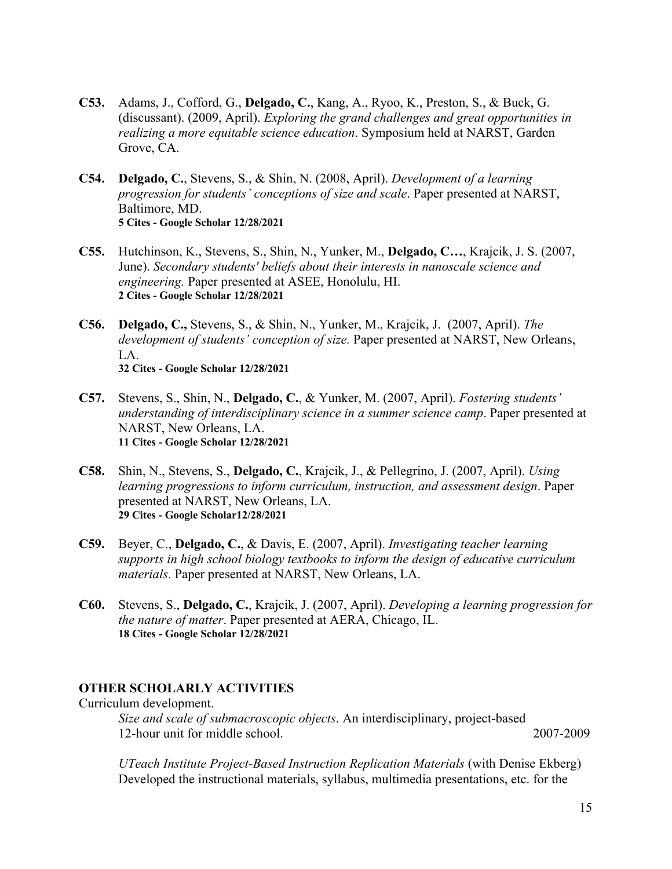- **C53.** Adams, J., Cofford, G., **Delgado, C.**, Kang, A., Ryoo, K., Preston, S., & Buck, G. (discussant). (2009, April). *Exploring the grand challenges and great opportunities in realizing a more equitable science education*. Symposium held at NARST, Garden Grove, CA.
- **C54. Delgado, C.**, Stevens, S., & Shin, N. (2008, April). *Development of a learning progression for students' conceptions of size and scale*. Paper presented at NARST, Baltimore, MD. **5 Cites - Google Scholar 12/28/2021**
- **C55.** Hutchinson, K., Stevens, S., Shin, N., Yunker, M., **Delgado, C…**, Krajcik, J. S. (2007, June). *Secondary students' beliefs about their interests in nanoscale science and engineering.* Paper presented at ASEE, Honolulu, HI. **2 Cites - Google Scholar 12/28/2021**
- **C56. Delgado, C.,** Stevens, S., & Shin, N., Yunker, M., Krajcik, J. (2007, April). *The development of students' conception of size.* Paper presented at NARST, New Orleans, LA. **32 Cites - Google Scholar 12/28/2021**
- **C57.** Stevens, S., Shin, N., **Delgado, C.**, & Yunker, M. (2007, April). *Fostering students' understanding of interdisciplinary science in a summer science camp*. Paper presented at NARST, New Orleans, LA. **11 Cites - Google Scholar 12/28/2021**
- **C58.** Shin, N., Stevens, S., **Delgado, C.**, Krajcik, J., & Pellegrino, J. (2007, April). *Using learning progressions to inform curriculum, instruction, and assessment design*. Paper presented at NARST, New Orleans, LA. **29 Cites - Google Scholar12/28/2021**
- **C59.** Beyer, C., **Delgado, C.**, & Davis, E. (2007, April). *Investigating teacher learning supports in high school biology textbooks to inform the design of educative curriculum materials*. Paper presented at NARST, New Orleans, LA.
- **C60.** Stevens, S., **Delgado, C.**, Krajcik, J. (2007, April). *Developing a learning progression for the nature of matter*. Paper presented at AERA, Chicago, IL. **18 Cites - Google Scholar 12/28/2021**

## **OTHER SCHOLARLY ACTIVITIES**

Curriculum development.

*Size and scale of submacroscopic objects*. An interdisciplinary, project-based 12-hour unit for middle school. 2007-2009

*UTeach Institute Project-Based Instruction Replication Materials* (with Denise Ekberg) Developed the instructional materials, syllabus, multimedia presentations, etc. for the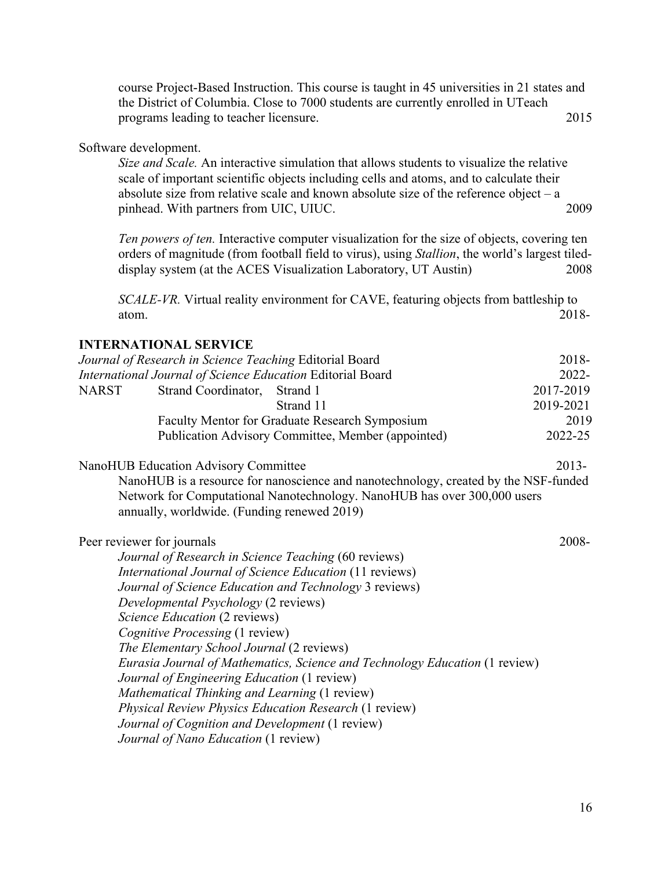course Project-Based Instruction. This course is taught in 45 universities in 21 states and the District of Columbia. Close to 7000 students are currently enrolled in UTeach programs leading to teacher licensure. 2015

#### Software development.

*Size and Scale.* An interactive simulation that allows students to visualize the relative scale of important scientific objects including cells and atoms, and to calculate their absolute size from relative scale and known absolute size of the reference object  $-$  a pinhead. With partners from UIC, UIUC. 2009

*Ten powers of ten.* Interactive computer visualization for the size of objects, covering ten orders of magnitude (from football field to virus), using *Stallion*, the world's largest tileddisplay system (at the ACES Visualization Laboratory, UT Austin) 2008

*SCALE-VR.* Virtual reality environment for CAVE, featuring objects from battleship to atom. 2018-

## **INTERNATIONAL SERVICE**

|              | Journal of Research in Science Teaching Editorial Board                             | 2018-     |
|--------------|-------------------------------------------------------------------------------------|-----------|
|              | International Journal of Science Education Editorial Board                          | 2022-     |
| <b>NARST</b> | Strand Coordinator,<br>Strand 1                                                     | 2017-2019 |
|              | Strand 11                                                                           | 2019-2021 |
|              | Faculty Mentor for Graduate Research Symposium                                      | 2019      |
|              | Publication Advisory Committee, Member (appointed)                                  | 2022-25   |
|              | <b>NanoHUB Education Advisory Committee</b>                                         | $2013 -$  |
|              | NanoHUB is a resource for nanoscience and nanotechnology, created by the NSF-funded |           |
|              | Network for Computational Nanotechnology. NanoHUB has over 300,000 users            |           |
|              | annually, worldwide. (Funding renewed 2019)                                         |           |
|              | Peer reviewer for journals                                                          | 2008-     |
|              | Journal of Research in Science Teaching (60 reviews)                                |           |
|              | International Journal of Science Education (11 reviews)                             |           |
|              | Journal of Science Education and Technology 3 reviews)                              |           |
|              | Developmental Psychology (2 reviews)                                                |           |
|              | Science Education (2 reviews)                                                       |           |
|              | Cognitive Processing (1 review)                                                     |           |
|              | The Elementary School Journal (2 reviews)                                           |           |
|              | Eurasia Journal of Mathematics, Science and Technology Education (1 review)         |           |
|              | Journal of Engineering Education (1 review)                                         |           |
|              | Mathematical Thinking and Learning (1 review)                                       |           |
|              | <b>Physical Review Physics Education Research (1 review)</b>                        |           |
|              | Journal of Cognition and Development (1 review)                                     |           |
|              | Journal of Nano Education (1 review)                                                |           |
|              |                                                                                     |           |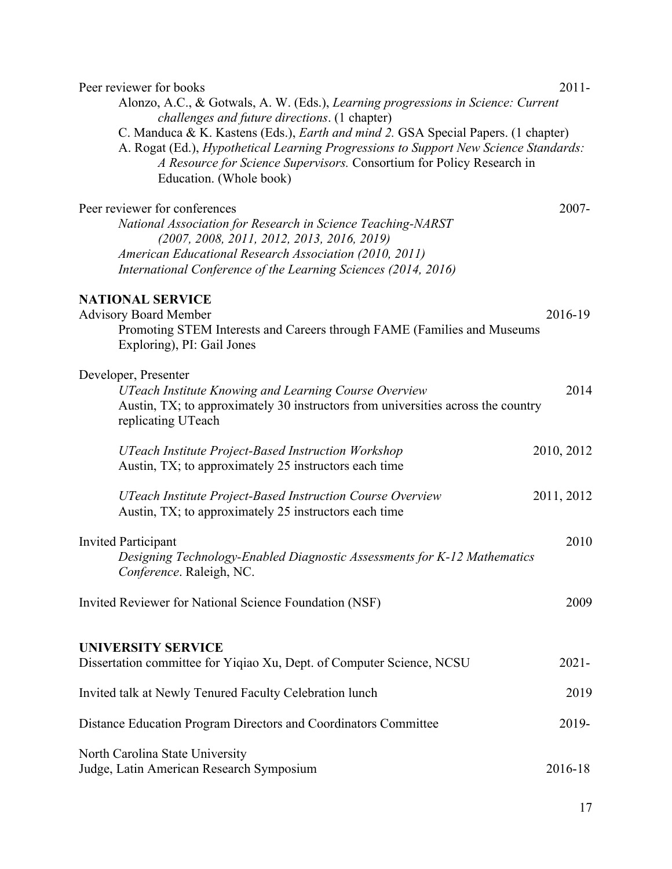| Peer reviewer for books<br>Alonzo, A.C., & Gotwals, A. W. (Eds.), Learning progressions in Science: Current                                                                                                                                                                                                                            | $2011 -$   |
|----------------------------------------------------------------------------------------------------------------------------------------------------------------------------------------------------------------------------------------------------------------------------------------------------------------------------------------|------------|
| challenges and future directions. (1 chapter)<br>C. Manduca & K. Kastens (Eds.), <i>Earth and mind 2</i> . GSA Special Papers. (1 chapter)<br>A. Rogat (Ed.), Hypothetical Learning Progressions to Support New Science Standards:<br>A Resource for Science Supervisors. Consortium for Policy Research in<br>Education. (Whole book) |            |
| Peer reviewer for conferences<br>National Association for Research in Science Teaching-NARST<br>$(2007, 2008, 2011, 2012, 2013, 2016, 2019)$<br>American Educational Research Association (2010, 2011)<br>International Conference of the Learning Sciences (2014, 2016)                                                               | $2007 -$   |
| <b>NATIONAL SERVICE</b><br><b>Advisory Board Member</b><br>Promoting STEM Interests and Careers through FAME (Families and Museums<br>Exploring), PI: Gail Jones                                                                                                                                                                       | 2016-19    |
| Developer, Presenter<br>UTeach Institute Knowing and Learning Course Overview<br>Austin, TX; to approximately 30 instructors from universities across the country<br>replicating UTeach                                                                                                                                                | 2014       |
| <b>UTeach Institute Project-Based Instruction Workshop</b><br>Austin, TX; to approximately 25 instructors each time                                                                                                                                                                                                                    | 2010, 2012 |
| UTeach Institute Project-Based Instruction Course Overview<br>Austin, TX; to approximately 25 instructors each time                                                                                                                                                                                                                    | 2011, 2012 |
| <b>Invited Participant</b><br>Designing Technology-Enabled Diagnostic Assessments for K-12 Mathematics<br>Conference. Raleigh, NC.                                                                                                                                                                                                     | 2010       |
| Invited Reviewer for National Science Foundation (NSF)                                                                                                                                                                                                                                                                                 | 2009       |
| <b>UNIVERSITY SERVICE</b><br>Dissertation committee for Yiqiao Xu, Dept. of Computer Science, NCSU                                                                                                                                                                                                                                     | $2021 -$   |
| Invited talk at Newly Tenured Faculty Celebration lunch                                                                                                                                                                                                                                                                                | 2019       |
| Distance Education Program Directors and Coordinators Committee                                                                                                                                                                                                                                                                        | 2019-      |
| North Carolina State University<br>Judge, Latin American Research Symposium                                                                                                                                                                                                                                                            | 2016-18    |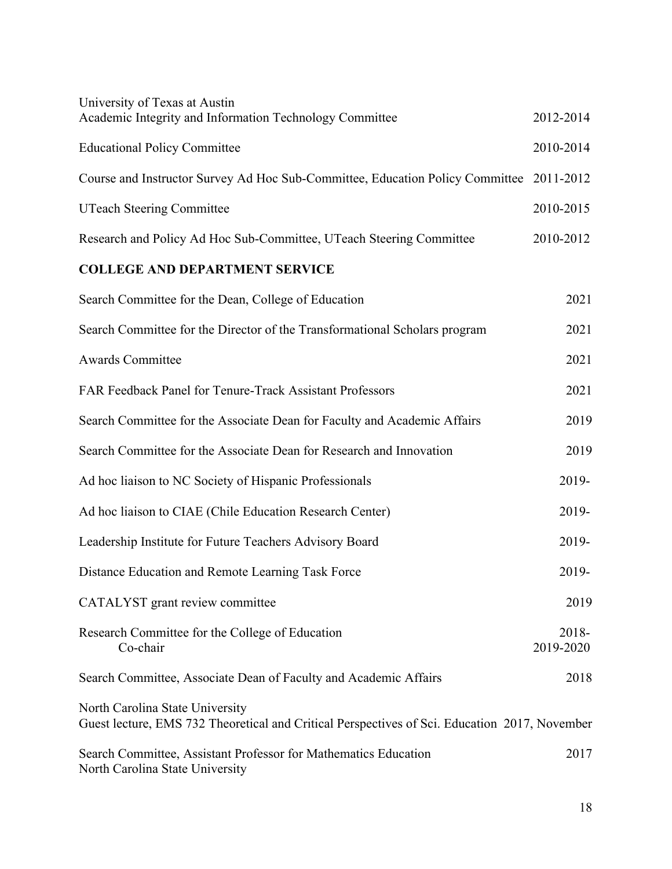| University of Texas at Austin<br>Academic Integrity and Information Technology Committee                                         | 2012-2014          |
|----------------------------------------------------------------------------------------------------------------------------------|--------------------|
|                                                                                                                                  |                    |
| <b>Educational Policy Committee</b>                                                                                              | 2010-2014          |
| Course and Instructor Survey Ad Hoc Sub-Committee, Education Policy Committee 2011-2012                                          |                    |
| <b>UTeach Steering Committee</b>                                                                                                 | 2010-2015          |
| Research and Policy Ad Hoc Sub-Committee, UTeach Steering Committee                                                              | 2010-2012          |
| <b>COLLEGE AND DEPARTMENT SERVICE</b>                                                                                            |                    |
| Search Committee for the Dean, College of Education                                                                              | 2021               |
| Search Committee for the Director of the Transformational Scholars program                                                       | 2021               |
| <b>Awards Committee</b>                                                                                                          | 2021               |
| FAR Feedback Panel for Tenure-Track Assistant Professors                                                                         | 2021               |
| Search Committee for the Associate Dean for Faculty and Academic Affairs                                                         | 2019               |
| Search Committee for the Associate Dean for Research and Innovation                                                              | 2019               |
| Ad hoc liaison to NC Society of Hispanic Professionals                                                                           | 2019-              |
| Ad hoc liaison to CIAE (Chile Education Research Center)                                                                         | 2019-              |
| Leadership Institute for Future Teachers Advisory Board                                                                          | 2019-              |
| Distance Education and Remote Learning Task Force                                                                                | 2019-              |
| CATALYST grant review committee                                                                                                  | 2019               |
| Research Committee for the College of Education<br>Co-chair                                                                      | 2018-<br>2019-2020 |
| Search Committee, Associate Dean of Faculty and Academic Affairs                                                                 | 2018               |
| North Carolina State University<br>Guest lecture, EMS 732 Theoretical and Critical Perspectives of Sci. Education 2017, November |                    |
| Search Committee, Assistant Professor for Mathematics Education<br>North Carolina State University                               | 2017               |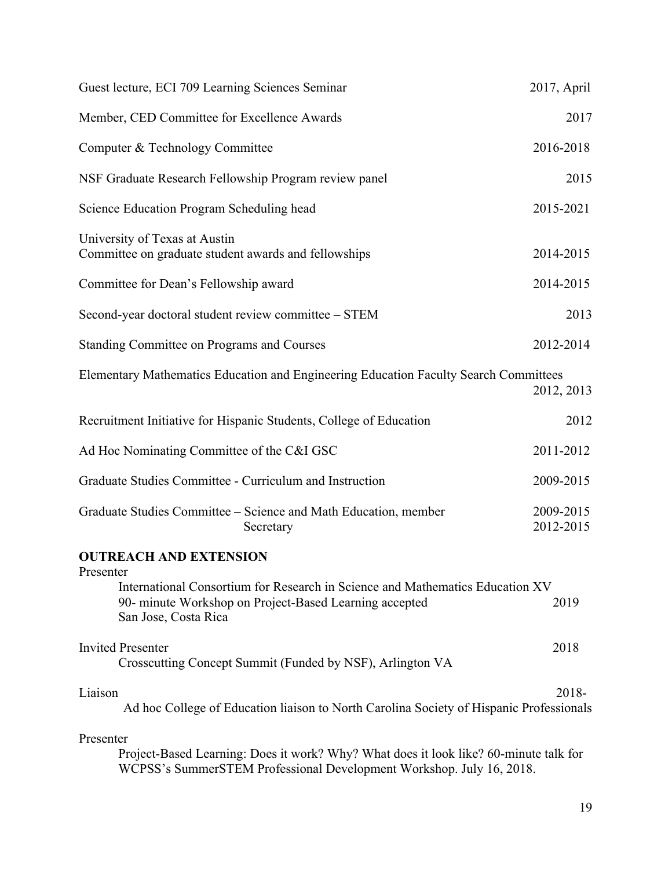| Guest lecture, ECI 709 Learning Sciences Seminar                                                                                                                             | 2017, April            |
|------------------------------------------------------------------------------------------------------------------------------------------------------------------------------|------------------------|
| Member, CED Committee for Excellence Awards                                                                                                                                  | 2017                   |
| Computer & Technology Committee                                                                                                                                              | 2016-2018              |
| NSF Graduate Research Fellowship Program review panel                                                                                                                        | 2015                   |
| Science Education Program Scheduling head                                                                                                                                    | 2015-2021              |
| University of Texas at Austin<br>Committee on graduate student awards and fellowships                                                                                        | 2014-2015              |
| Committee for Dean's Fellowship award                                                                                                                                        | 2014-2015              |
| Second-year doctoral student review committee - STEM                                                                                                                         | 2013                   |
| Standing Committee on Programs and Courses                                                                                                                                   | 2012-2014              |
| Elementary Mathematics Education and Engineering Education Faculty Search Committees                                                                                         | 2012, 2013             |
| Recruitment Initiative for Hispanic Students, College of Education                                                                                                           | 2012                   |
| Ad Hoc Nominating Committee of the C&I GSC                                                                                                                                   | 2011-2012              |
| Graduate Studies Committee - Curriculum and Instruction                                                                                                                      | 2009-2015              |
| Graduate Studies Committee – Science and Math Education, member<br>Secretary                                                                                                 | 2009-2015<br>2012-2015 |
| <b>OUTREACH AND EXTENSION</b>                                                                                                                                                |                        |
| Presenter<br>International Consortium for Research in Science and Mathematics Education XV<br>90- minute Workshop on Project-Based Learning accepted<br>San Jose, Costa Rica | 2019                   |
| <b>Invited Presenter</b><br>Crosscutting Concept Summit (Funded by NSF), Arlington VA                                                                                        | 2018                   |
| Liaison<br>Ad hoc College of Education liaison to North Carolina Society of Hispanic Professionals                                                                           | 2018-                  |
| Presenter<br>Project-Based Learning: Does it work? Why? What does it look like? 60-minute talk for<br>WCPSS's SummerSTEM Professional Development Workshop. July 16, 2018.   |                        |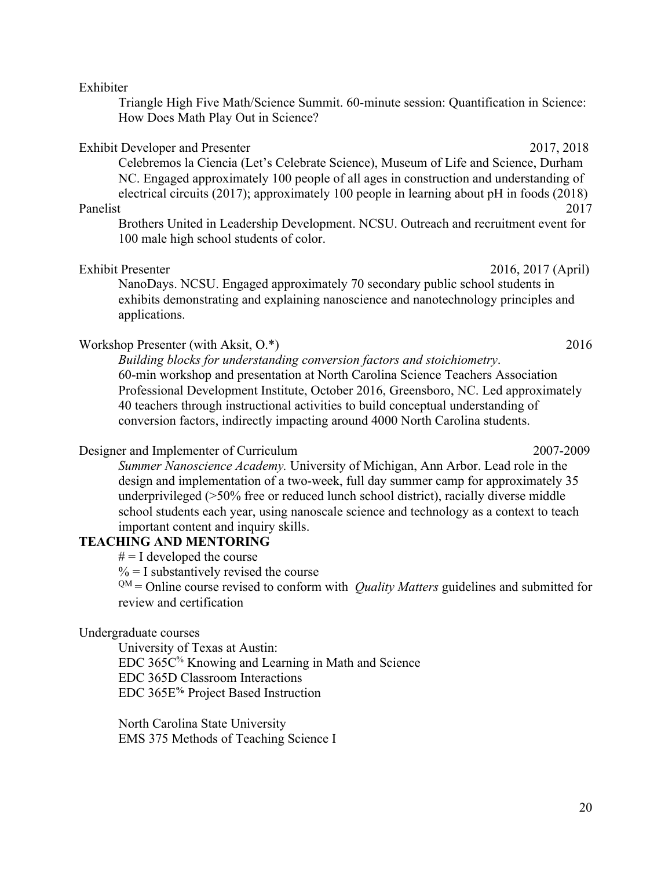#### Exhibiter

Triangle High Five Math/Science Summit. 60-minute session: Quantification in Science: How Does Math Play Out in Science?

## Exhibit Developer and Presenter 2017, 2018

Celebremos la Ciencia (Let's Celebrate Science), Museum of Life and Science, Durham NC. Engaged approximately 100 people of all ages in construction and understanding of electrical circuits (2017); approximately 100 people in learning about pH in foods (2018)

Brothers United in Leadership Development. NCSU. Outreach and recruitment event for 100 male high school students of color.

#### Exhibit Presenter 2016, 2017 (April)

NanoDays. NCSU. Engaged approximately 70 secondary public school students in exhibits demonstrating and explaining nanoscience and nanotechnology principles and applications.

## Workshop Presenter (with Aksit, O.\*) 2016

*Building blocks for understanding conversion factors and stoichiometry*. 60-min workshop and presentation at North Carolina Science Teachers Association Professional Development Institute, October 2016, Greensboro, NC. Led approximately 40 teachers through instructional activities to build conceptual understanding of conversion factors, indirectly impacting around 4000 North Carolina students.

#### Designer and Implementer of Curriculum 2007-2009

*Summer Nanoscience Academy.* University of Michigan, Ann Arbor. Lead role in the design and implementation of a two-week, full day summer camp for approximately 35 underprivileged (>50% free or reduced lunch school district), racially diverse middle school students each year, using nanoscale science and technology as a context to teach important content and inquiry skills.

## **TEACHING AND MENTORING**

 $# = I$  developed the course

 $\% = I$  substantively revised the course

 $QM =$  Online course revised to conform with *Quality Matters* guidelines and submitted for review and certification

#### Undergraduate courses

University of Texas at Austin: EDC 365C% Knowing and Learning in Math and Science EDC 365D Classroom Interactions EDC 365E**%** Project Based Instruction

North Carolina State University EMS 375 Methods of Teaching Science I

Panelist 2017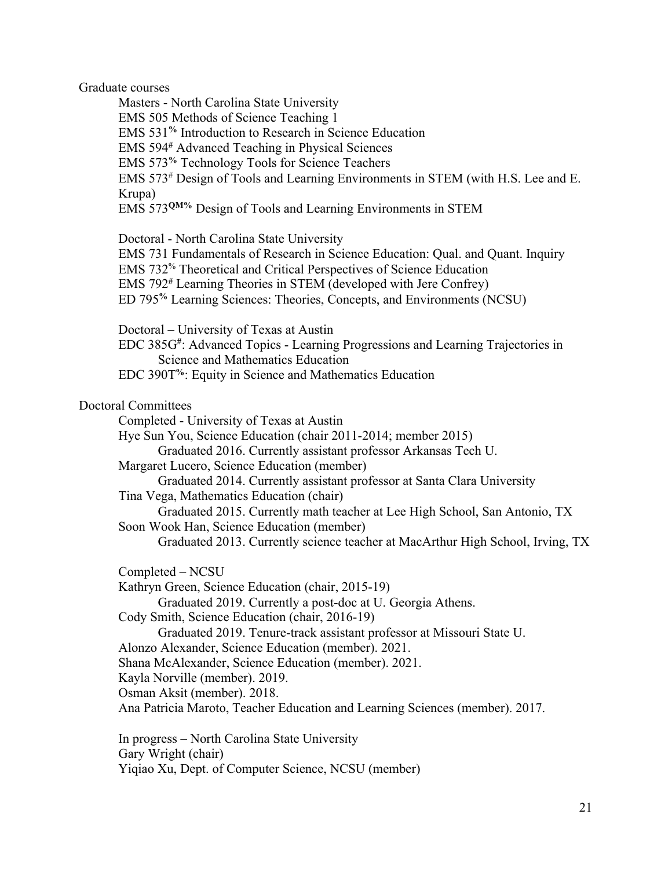Graduate courses

Masters - North Carolina State University EMS 505 Methods of Science Teaching 1 EMS 531**%** Introduction to Research in Science Education EMS 594**#** Advanced Teaching in Physical Sciences EMS 573**%** Technology Tools for Science Teachers EMS 573# Design of Tools and Learning Environments in STEM (with H.S. Lee and E. Krupa) EMS 573**QM%** Design of Tools and Learning Environments in STEM

Doctoral - North Carolina State University

EMS 731 Fundamentals of Research in Science Education: Qual. and Quant. Inquiry EMS 732% Theoretical and Critical Perspectives of Science Education EMS 792**#** Learning Theories in STEM (developed with Jere Confrey)

ED 795**%** Learning Sciences: Theories, Concepts, and Environments (NCSU)

Doctoral – University of Texas at Austin

EDC 385G**#** : Advanced Topics - Learning Progressions and Learning Trajectories in Science and Mathematics Education

EDC 390T**%**: Equity in Science and Mathematics Education

#### Doctoral Committees

Completed - University of Texas at Austin

Hye Sun You, Science Education (chair 2011-2014; member 2015)

Graduated 2016. Currently assistant professor Arkansas Tech U.

Margaret Lucero, Science Education (member)

Graduated 2014. Currently assistant professor at Santa Clara University

Tina Vega, Mathematics Education (chair)

Graduated 2015. Currently math teacher at Lee High School, San Antonio, TX Soon Wook Han, Science Education (member)

Graduated 2013. Currently science teacher at MacArthur High School, Irving, TX

Completed – NCSU

Kathryn Green, Science Education (chair, 2015-19)

Graduated 2019. Currently a post-doc at U. Georgia Athens.

Cody Smith, Science Education (chair, 2016-19)

Graduated 2019. Tenure-track assistant professor at Missouri State U. Alonzo Alexander, Science Education (member). 2021.

Shana McAlexander, Science Education (member). 2021.

Kayla Norville (member). 2019.

Osman Aksit (member). 2018.

Ana Patricia Maroto, Teacher Education and Learning Sciences (member). 2017.

In progress – North Carolina State University Gary Wright (chair) Yiqiao Xu, Dept. of Computer Science, NCSU (member)